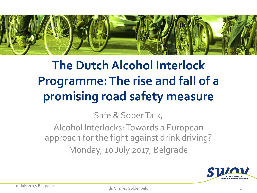

# **The Dutch Alcohol Interlock Programme: The rise and fall of a promising road safety measure**

Safe & Sober Talk,

Alcohol Interlocks: Towards a European approach for the fight against drink driving? Monday, 10 July 2017, Belgrade

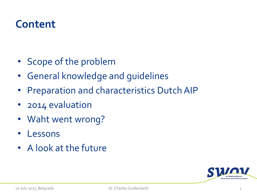#### **Content**

- Scope of the problem
- General knowledge and guidelines
- Preparation and characteristics Dutch AIP
- 2014 evaluation
- Waht went wrong?
- Lessons
- A look at the future

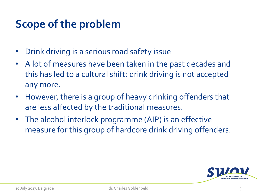### **Scope of the problem**

- Drink driving is a serious road safety issue
- A lot of measures have been taken in the past decades and this has led to a cultural shift: drink driving is not accepted any more.
- However, there is a group of heavy drinking offenders that are less affected by the traditional measures.
- The alcohol interlock programme (AIP) is an effective measure for this group of hardcore drink driving offenders.

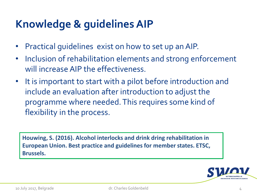# **Knowledge & guidelinesAIP**

- Practical guidelines exist on how to set up an AIP.
- Inclusion of rehabilitation elements and strong enforcement will increase AIP the effectiveness.
- It is important to start with a pilot before introduction and include an evaluation after introduction to adjust the programme where needed. This requires some kind of flexibility in the process.

**Houwing, S. (2016). Alcohol interlocks and drink dring rehabilitation in European Union. Best practice and guidelines for member states. ETSC, Brussels.** 

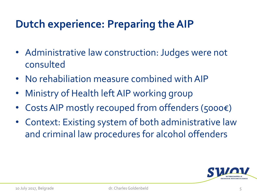# **Dutch experience: Preparing theAIP**

- Administrative law construction: Judges were not consulted
- No rehabiliation measure combined with AIP
- Ministry of Health left AIP working group
- Costs AIP mostly recouped from offenders (5000€)
- Context: Existing system of both administrative law and criminal law procedures for alcohol offenders

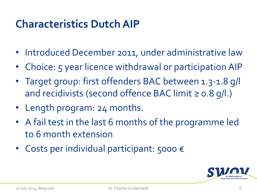### **Characteristics Dutch AIP**

- Introduced December 2011, under administrative law
- Choice: 5 year licence withdrawal or participation AIP
- Target group: first offenders BAC between 1.3-1.8 g/l and recidivists (second offence BAC limit  $\geq$  0.8 g/l.)
- Length program: 24 months.
- A fail test in the last 6 months of the programme led to 6 month extension
- Costs per individual participant: 5000 €

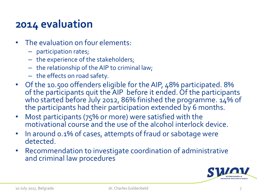#### **2014 evaluation**

- The evaluation on four elements:
	- participation rates;
	- the experience of the stakeholders;
	- the relationship of the AIP to criminal law;
	- the effects on road safety.
- Of the 10.500 offenders eligible for the AIP, 48% participated. 8% of the participants quit the AIP before it ended. Of the participants who started before July 2012, 86% finished the programme. 14% of the participants had their participation extended by 6 months.
- Most participants (75% or more) were satisfied with the motivational course and the use of the alcohol interlock device.
- In around 0.1% of cases, attempts of fraud or sabotage were detected.
- Recommendation to investigate coordination of administrative and criminal law procedures

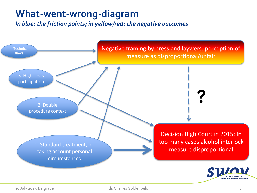#### **What-went-wrong-diagram**

*In blue: the friction points; in yellow/red: the negative outcomes*

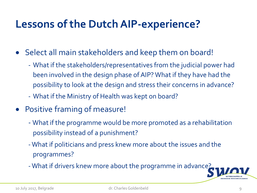### **Lessons of the Dutch AIP-experience?**

- Select all main stakeholders and keep them on board!
	- What if the stakeholders/representatives from the judicial power had been involved in the design phase of AIP? What if they have had the possibility to look at the design and stress their concerns in advance?
	- What if the Ministry of Health was kept on board?
- Positive framing of measure!
	- What if the programme would be more promoted as a rehabilitation possibility instead of a punishment?
	- -What if politicians and press knew more about the issues and the programmes?
	- What if drivers knew more about the programme in advance?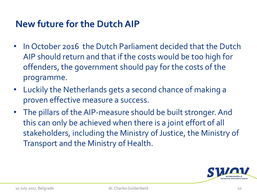#### **New future for the Dutch AIP**

- In October 2016 the Dutch Parliament decided that the Dutch AIP should return and that if the costs would be too high for offenders, the government should pay for the costs of the programme.
- Luckily the Netherlands gets a second chance of making a proven effective measure a success.
- The pillars of the AIP-measure should be built stronger. And this can only be achieved when there is a joint effort of all stakeholders, including the Ministry of Justice, the Ministry of Transport and the Ministry of Health.